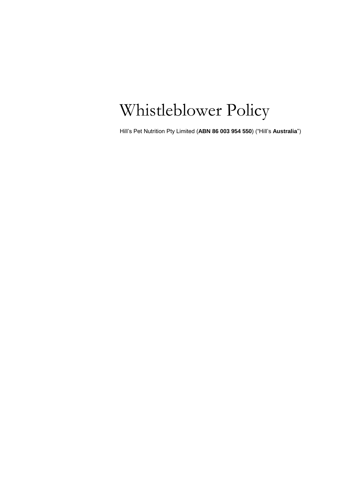# Whistleblower Policy

Hill's Pet Nutrition Pty Limited (**ABN 86 003 954 550**) ("Hill's **Australia**")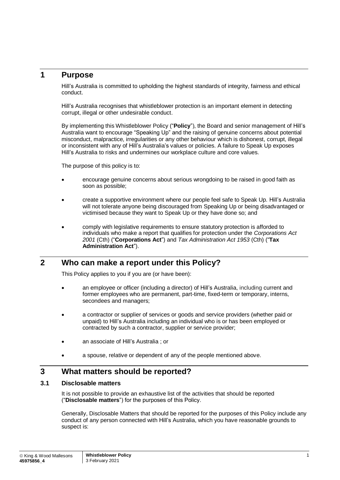## **1 Purpose**

Hill's Australia is committed to upholding the highest standards of integrity, fairness and ethical conduct.

Hill's Australia recognises that whistleblower protection is an important element in detecting corrupt, illegal or other undesirable conduct.

By implementing this Whistleblower Policy ("**Policy**"), the Board and senior management of Hill's Australia want to encourage "Speaking Up" and the raising of genuine concerns about potential misconduct, malpractice, irregularities or any other behaviour which is dishonest, corrupt, illegal or inconsistent with any of Hill's Australia's values or policies. A failure to Speak Up exposes Hill's Australia to risks and undermines our workplace culture and core values.

The purpose of this policy is to:

- encourage genuine concerns about serious wrongdoing to be raised in good faith as soon as possible;
- create a supportive environment where our people feel safe to Speak Up. Hill's Australia will not tolerate anyone being discouraged from Speaking Up or being disadvantaged or victimised because they want to Speak Up or they have done so; and
- comply with legislative requirements to ensure statutory protection is afforded to individuals who make a report that qualifies for protection under the *Corporations Act 2001* (Cth) ("**Corporations Act**") and *Tax Administration Act 1953* (Cth) ("**Tax Administration Act**").

## **2 Who can make a report under this Policy?**

This Policy applies to you if you are (or have been):

- an employee or officer (including a director) of Hill's Australia, including current and former employees who are permanent, part-time, fixed-term or temporary, interns, secondees and managers;
- a contractor or supplier of services or goods and service providers (whether paid or unpaid) to Hill's Australia including an individual who is or has been employed or contracted by such a contractor, supplier or service provider;
- an associate of Hill's Australia ; or
- a spouse, relative or dependent of any of the people mentioned above.

## **3 What matters should be reported?**

#### **3.1 Disclosable matters**

It is not possible to provide an exhaustive list of the activities that should be reported ("**Disclosable matters**") for the purposes of this Policy.

Generally, Disclosable Matters that should be reported for the purposes of this Policy include any conduct of any person connected with Hill's Australia, which you have reasonable grounds to suspect is: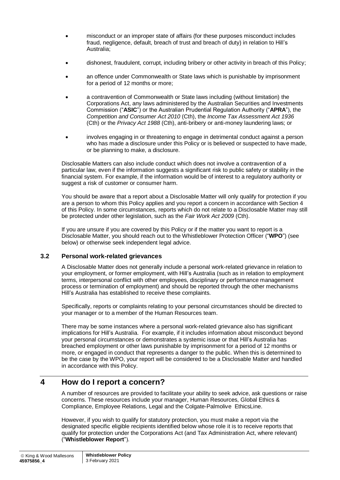- misconduct or an improper state of affairs (for these purposes misconduct includes fraud, negligence, default, breach of trust and breach of duty) in relation to Hill's Australia;
- dishonest, fraudulent, corrupt, including bribery or other activity in breach of this Policy;
- an offence under Commonwealth or State laws which is punishable by imprisonment for a period of 12 months or more;
- a contravention of Commonwealth or State laws including (without limitation) the Corporations Act, any laws administered by the Australian Securities and Investments Commission ("**ASIC**") or the Australian Prudential Regulation Authority ("**APRA**"), the *Competition and Consumer Act 2010* (Cth), the *Income Tax Assessment Act 1936* (Cth) or the *Privacy Act 1988* (Cth), anti-bribery or anti-money laundering laws; or
- involves engaging in or threatening to engage in detrimental conduct against a person who has made a disclosure under this Policy or is believed or suspected to have made, or be planning to make, a disclosure.

Disclosable Matters can also include conduct which does not involve a contravention of a particular law, even if the information suggests a significant risk to public safety or stability in the financial system. For example, if the information would be of interest to a regulatory authority or suggest a risk of customer or consumer harm.

You should be aware that a report about a Disclosable Matter will only qualify for protection if you are a person to whom this Policy applies and you report a concern in accordance with Section 4 of this Policy. In some circumstances, reports which do not relate to a Disclosable Matter may still be protected under other legislation, such as the *Fair Work Act 2009* (Cth).

If you are unsure if you are covered by this Policy or if the matter you want to report is a Disclosable Matter, you should reach out to the Whistleblower Protection Officer ("**WPO**") (see below) or otherwise seek independent legal advice.

## **3.2 Personal work-related grievances**

A Disclosable Matter does not generally include a personal work-related grievance in relation to your employment, or former employment, with Hill's Australia (such as in relation to employment terms, interpersonal conflict with other employees, disciplinary or performance management process or termination of employment) and should be reported through the other mechanisms Hill's Australia has established to receive these complaints.

Specifically, reports or complaints relating to your personal circumstances should be directed to your manager or to a member of the Human Resources team.

There may be some instances where a personal work-related grievance also has significant implications for Hill's Australia. For example, if it includes information about misconduct beyond your personal circumstances or demonstrates a systemic issue or that Hill's Australia has breached employment or other laws punishable by imprisonment for a period of 12 months or more, or engaged in conduct that represents a danger to the public. When this is determined to be the case by the WPO, your report will be considered to be a Disclosable Matter and handled in accordance with this Policy.

## **4 How do I report a concern?**

A number of resources are provided to facilitate your ability to seek advice, ask questions or raise concerns. These resources include your manager, Human Resources, Global Ethics & Compliance, Employee Relations, Legal and the Colgate-Palmolive EthicsLine.

However, if you wish to qualify for statutory protection, you must make a report via the designated specific eligible recipients identified below whose role it is to receive reports that qualify for protection under the Corporations Act (and Tax Administration Act, where relevant) ("**Whistleblower Report**").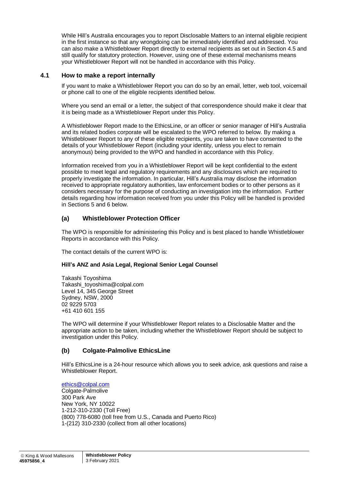While Hill's Australia encourages you to report Disclosable Matters to an internal eligible recipient in the first instance so that any wrongdoing can be immediately identified and addressed. You can also make a Whistleblower Report directly to external recipients as set out in Section 4.5 and still qualify for statutory protection. However, using one of these external mechanisms means your Whistleblower Report will not be handled in accordance with this Policy.

#### **4.1 How to make a report internally**

If you want to make a Whistleblower Report you can do so by an email, letter, web tool, voicemail or phone call to one of the eligible recipients identified below.

Where you send an email or a letter, the subject of that correspondence should make it clear that it is being made as a Whistleblower Report under this Policy.

A Whistleblower Report made to the EthicsLine, or an officer or senior manager of Hill's Australia and its related bodies corporate will be escalated to the WPO referred to below. By making a Whistleblower Report to any of these eligible recipients, you are taken to have consented to the details of your Whistleblower Report (including your identity, unless you elect to remain anonymous) being provided to the WPO and handled in accordance with this Policy.

Information received from you in a Whistleblower Report will be kept confidential to the extent possible to meet legal and regulatory requirements and any disclosures which are required to properly investigate the information. In particular, Hill's Australia may disclose the information received to appropriate regulatory authorities, law enforcement bodies or to other persons as it considers necessary for the purpose of conducting an investigation into the information. Further details regarding how information received from you under this Policy will be handled is provided in Sections 5 and 6 below.

## **(a) Whistleblower Protection Officer**

The WPO is responsible for administering this Policy and is best placed to handle Whistleblower Reports in accordance with this Policy.

The contact details of the current WPO is:

#### **Hill's ANZ and Asia Legal, Regional Senior Legal Counsel**

Takashi Toyoshima Takashi\_toyoshima@colpal.com Level 14, 345 George Street Sydney, NSW, 2000 02 9229 5703 +61 410 601 155

The WPO will determine if your Whistleblower Report relates to a Disclosable Matter and the appropriate action to be taken, including whether the Whistleblower Report should be subject to investigation under this Policy.

#### **(b) Colgate-Palmolive EthicsLine**

Hill's EthicsLine is a 24-hour resource which allows you to seek advice, ask questions and raise a Whistleblower Report.

[ethics@colpal.com](mailto:ethics@colpal.com) Colgate-Palmolive 300 Park Ave New York, NY 10022 1-212-310-2330 (Toll Free) (800) 778-6080 (toll free from U.S., Canada and Puerto Rico) 1-(212) 310-2330 (collect from all other locations)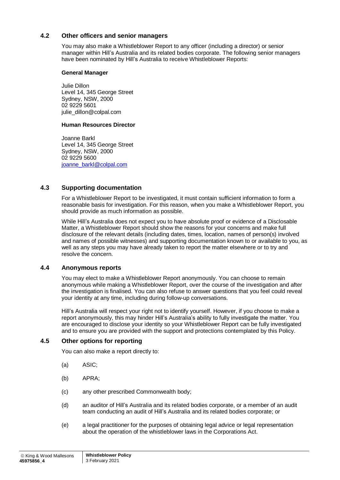#### **4.2 Other officers and senior managers**

You may also make a Whistleblower Report to any officer (including a director) or senior manager within Hill's Australia and its related bodies corporate. The following senior managers have been nominated by Hill's Australia to receive Whistleblower Reports:

#### **General Manager**

Julie Dillon Level 14, 345 George Street Sydney, NSW, 2000 02 9229 5601 julie\_dillon@colpal.com

#### **Human Resources Director**

Joanne Barkl Level 14, 345 George Street Sydney, NSW, 2000 02 9229 5600 [joanne\\_barkl@colpal.com](mailto:joanne_barkl@colpal.com)

#### **4.3 Supporting documentation**

For a Whistleblower Report to be investigated, it must contain sufficient information to form a reasonable basis for investigation. For this reason, when you make a Whistleblower Report, you should provide as much information as possible.

While Hill's Australia does not expect you to have absolute proof or evidence of a Disclosable Matter, a Whistleblower Report should show the reasons for your concerns and make full disclosure of the relevant details (including dates, times, location, names of person(s) involved and names of possible witnesses) and supporting documentation known to or available to you, as well as any steps you may have already taken to report the matter elsewhere or to try and resolve the concern.

#### **4.4 Anonymous reports**

You may elect to make a Whistleblower Report anonymously. You can choose to remain anonymous while making a Whistleblower Report, over the course of the investigation and after the investigation is finalised. You can also refuse to answer questions that you feel could reveal your identity at any time, including during follow-up conversations.

Hill's Australia will respect your right not to identify yourself. However, if you choose to make a report anonymously, this may hinder Hill's Australia's ability to fully investigate the matter. You are encouraged to disclose your identity so your Whistleblower Report can be fully investigated and to ensure you are provided with the support and protections contemplated by this Policy.

#### **4.5 Other options for reporting**

You can also make a report directly to:

- (a) ASIC;
- (b) APRA;
- (c) any other prescribed Commonwealth body;
- (d) an auditor of Hill's Australia and its related bodies corporate, or a member of an audit team conducting an audit of Hill's Australia and its related bodies corporate; or
- (e) a legal practitioner for the purposes of obtaining legal advice or legal representation about the operation of the whistleblower laws in the Corporations Act.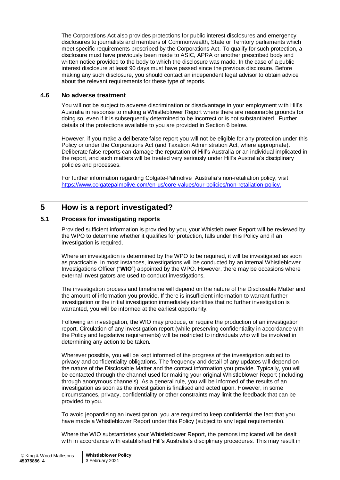The Corporations Act also provides protections for public interest disclosures and emergency disclosures to journalists and members of Commonwealth, State or Territory parliaments which meet specific requirements prescribed by the Corporations Act. To qualify for such protection, a disclosure must have previously been made to ASIC, APRA or another prescribed body and written notice provided to the body to which the disclosure was made. In the case of a public interest disclosure at least 90 days must have passed since the previous disclosure. Before making any such disclosure, you should contact an independent legal advisor to obtain advice about the relevant requirements for these type of reports.

#### **4.6 No adverse treatment**

You will not be subject to adverse discrimination or disadvantage in your employment with Hill's Australia in response to making a Whistleblower Report where there are reasonable grounds for doing so, even if it is subsequently determined to be incorrect or is not substantiated. Further details of the protections available to you are provided in Section 6 below.

However, if you make a deliberate false report you will not be eligible for any protection under this Policy or under the Corporations Act (and Taxation Administration Act, where appropriate). Deliberate false reports can damage the reputation of Hill's Australia or an individual implicated in the report, and such matters will be treated very seriously under Hill's Australia's disciplinary policies and processes.

For further information regarding Colgate-Palmolive Australia's non-retaliation policy, visit [https://www.colgatepalmolive.com/en-us/core-values/our-policies/non-retaliation-policy.](https://www.colgatepalmolive.com/en-us/core-values/our-policies/non-retaliation-policy)

# **5 How is a report investigated?**

#### <span id="page-5-0"></span>**5.1 Process for investigating reports**

Provided sufficient information is provided by you, your Whistleblower Report will be reviewed by the WPO to determine whether it qualifies for protection, falls under this Policy and if an investigation is required.

Where an investigation is determined by the WPO to be required, it will be investigated as soon as practicable. In most instances, investigations will be conducted by an internal Whistleblower Investigations Officer ("**WIO**") appointed by the WPO. However, there may be occasions where external investigators are used to conduct investigations.

The investigation process and timeframe will depend on the nature of the Disclosable Matter and the amount of information you provide. If there is insufficient information to warrant further investigation or the initial investigation immediately identifies that no further investigation is warranted, you will be informed at the earliest opportunity.

Following an investigation, the WIO may produce, or require the production of an investigation report. Circulation of any investigation report (while preserving confidentiality in accordance with the Policy and legislative requirements) will be restricted to individuals who will be involved in determining any action to be taken.

Wherever possible, you will be kept informed of the progress of the investigation subject to privacy and confidentiality obligations. The frequency and detail of any updates will depend on the nature of the Disclosable Matter and the contact information you provide. Typically, you will be contacted through the channel used for making your original Whistleblower Report (including through anonymous channels). As a general rule, you will be informed of the results of an investigation as soon as the investigation is finalised and acted upon. However, in some circumstances, privacy, confidentiality or other constraints may limit the feedback that can be provided to you.

To avoid jeopardising an investigation, you are required to keep confidential the fact that you have made a Whistleblower Report under this Policy (subject to any legal requirements).

Where the WIO substantiates your Whistleblower Report, the persons implicated will be dealt with in accordance with established Hill's Australia's disciplinary procedures. This may result in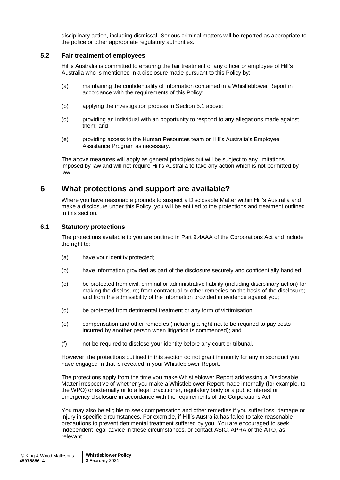disciplinary action, including dismissal. Serious criminal matters will be reported as appropriate to the police or other appropriate regulatory authorities.

#### **5.2 Fair treatment of employees**

Hill's Australia is committed to ensuring the fair treatment of any officer or employee of Hill's Australia who is mentioned in a disclosure made pursuant to this Policy by:

- (a) maintaining the confidentiality of information contained in a Whistleblower Report in accordance with the requirements of this Policy;
- (b) applying the investigation process in Section [5.1](#page-5-0) above;
- (d) providing an individual with an opportunity to respond to any allegations made against them; and
- (e) providing access to the Human Resources team or Hill's Australia's Employee Assistance Program as necessary.

The above measures will apply as general principles but will be subject to any limitations imposed by law and will not require Hill's Australia to take any action which is not permitted by law.

## **6 What protections and support are available?**

Where you have reasonable grounds to suspect a Disclosable Matter within Hill's Australia and make a disclosure under this Policy, you will be entitled to the protections and treatment outlined in this section.

#### **6.1 Statutory protections**

The protections available to you are outlined in Part 9.4AAA of the Corporations Act and include the right to:

- (a) have your identity protected;
- (b) have information provided as part of the disclosure securely and confidentially handled;
- (c) be protected from civil, criminal or administrative liability (including disciplinary action) for making the disclosure; from contractual or other remedies on the basis of the disclosure; and from the admissibility of the information provided in evidence against you;
- (d) be protected from detrimental treatment or any form of victimisation;
- (e) compensation and other remedies (including a right not to be required to pay costs incurred by another person when litigation is commenced); and
- (f) not be required to disclose your identity before any court or tribunal.

However, the protections outlined in this section do not grant immunity for any misconduct you have engaged in that is revealed in your Whistleblower Report.

The protections apply from the time you make Whistleblower Report addressing a Disclosable Matter irrespective of whether you make a Whistleblower Report made internally (for example, to the WPO) or externally or to a legal practitioner, regulatory body or a public interest or emergency disclosure in accordance with the requirements of the Corporations Act.

You may also be eligible to seek compensation and other remedies if you suffer loss, damage or injury in specific circumstances. For example, if Hill's Australia has failed to take reasonable precautions to prevent detrimental treatment suffered by you. You are encouraged to seek independent legal advice in these circumstances, or contact ASIC, APRA or the ATO, as relevant.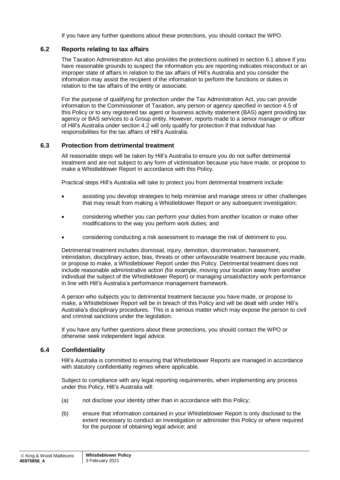If you have any further questions about these protections, you should contact the WPO.

#### **6.2 Reports relating to tax affairs**

The Taxation Administration Act also provides the protections outlined in section 6.1 above if you have reasonable grounds to suspect the information you are reporting indicates misconduct or an improper state of affairs in relation to the tax affairs of Hill's Australia and you consider the information may assist the recipient of the information to perform the functions or duties in relation to the tax affairs of the entity or associate.

For the purpose of qualifying for protection under the Tax Administration Act, you can provide information to the Commissioner of Taxation, any person or agency specified in section 4.5 of this Policy or to any registered tax agent or business activity statement (BAS) agent providing tax agency or BAS services to a Group entity. However, reports made to a senior manager or officer of Hill's Australia under section 4.2 will only qualify for protection if that individual has responsibilities for the tax affairs of Hill's Australia.

#### **6.3 Protection from detrimental treatment**

All reasonable steps will be taken by Hill's Australia to ensure you do not suffer detrimental treatment and are not subject to any form of victimisation because you have made, or propose to make a Whistleblower Report in accordance with this Policy.

Practical steps Hill's Australia will take to protect you from detrimental treatment include:

- assisting you develop strategies to help minimise and manage stress or other challenges that may result from making a Whistleblower Report or any subsequent investigation;
- considering whether you can perform your duties from another location or make other modifications to the way you perform work duties; and
- considering conducting a risk assessment to manage the risk of detriment to you.

Detrimental treatment includes dismissal, injury, demotion, discrimination, harassment, intimidation, disciplinary action, bias, threats or other unfavourable treatment because you made, or propose to make, a Whistleblower Report under this Policy. Detrimental treatment does not include reasonable administrative action (for example, moving your location away from another individual the subject of the Whistleblower Report) or managing unsatisfactory work performance in line with Hill's Australia's performance management framework.

A person who subjects you to detrimental treatment because you have made, or propose to make, a Whistleblower Report will be in breach of this Policy and will be dealt with under Hill's Australia's disciplinary procedures. This is a serious matter which may expose the person to civil and criminal sanctions under the legislation.

If you have any further questions about these protections, you should contact the WPO or otherwise seek independent legal advice.

#### **6.4 Confidentiality**

Hill's Australia is committed to ensuring that Whistleblower Reports are managed in accordance with statutory confidentiality regimes where applicable.

Subject to compliance with any legal reporting requirements, when implementing any process under this Policy, Hill's Australia will:

- (a) not disclose your identity other than in accordance with this Policy;
- (b) ensure that information contained in your Whistleblower Report is only disclosed to the extent necessary to conduct an investigation or administer this Policy or where required for the purpose of obtaining legal advice; and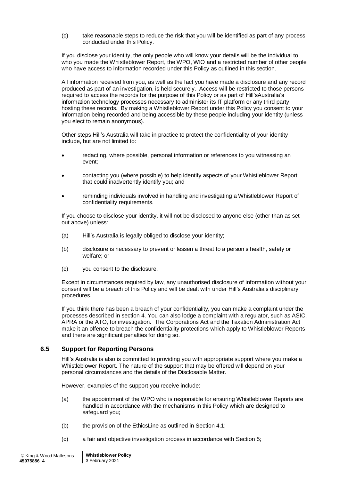(c) take reasonable steps to reduce the risk that you will be identified as part of any process conducted under this Policy.

If you disclose your identity, the only people who will know your details will be the individual to who you made the Whistleblower Report, the WPO, WIO and a restricted number of other people who have access to information recorded under this Policy as outlined in this section.

All information received from you, as well as the fact you have made a disclosure and any record produced as part of an investigation, is held securely. Access will be restricted to those persons required to access the records for the purpose of this Policy or as part of Hill'sAustralia's information technology processes necessary to administer its IT platform or any third party hosting these records. By making a Whistleblower Report under this Policy you consent to your information being recorded and being accessible by these people including your identity (unless you elect to remain anonymous).

Other steps Hill's Australia will take in practice to protect the confidentiality of your identity include, but are not limited to:

- redacting, where possible, personal information or references to you witnessing an event;
- contacting you (where possible) to help identify aspects of your Whistleblower Report that could inadvertently identify you; and
- reminding individuals involved in handling and investigating a Whistleblower Report of confidentiality requirements.

If you choose to disclose your identity, it will not be disclosed to anyone else (other than as set out above) unless:

- (a) Hill's Australia is legally obliged to disclose your identity;
- (b) disclosure is necessary to prevent or lessen a threat to a person's health, safety or welfare; or
- (c) you consent to the disclosure.

Except in circumstances required by law, any unauthorised disclosure of information without your consent will be a breach of this Policy and will be dealt with under Hill's Australia's disciplinary procedures.

If you think there has been a breach of your confidentiality, you can make a complaint under the processes described in section 4. You can also lodge a complaint with a regulator, such as ASIC, APRA or the ATO, for investigation. The Corporations Act and the Taxation Administration Act make it an offence to breach the confidentiality protections which apply to Whistleblower Reports and there are significant penalties for doing so.

#### **6.5 Support for Reporting Persons**

Hill's Australia is also is committed to providing you with appropriate support where you make a Whistleblower Report. The nature of the support that may be offered will depend on your personal circumstances and the details of the Disclosable Matter.

However, examples of the support you receive include:

- (a) the appointment of the WPO who is responsible for ensuring Whistleblower Reports are handled in accordance with the mechanisms in this Policy which are designed to safeguard you;
- (b) the provision of the EthicsLine as outlined in Section 4.1;
- (c) a fair and objective investigation process in accordance with Section 5;